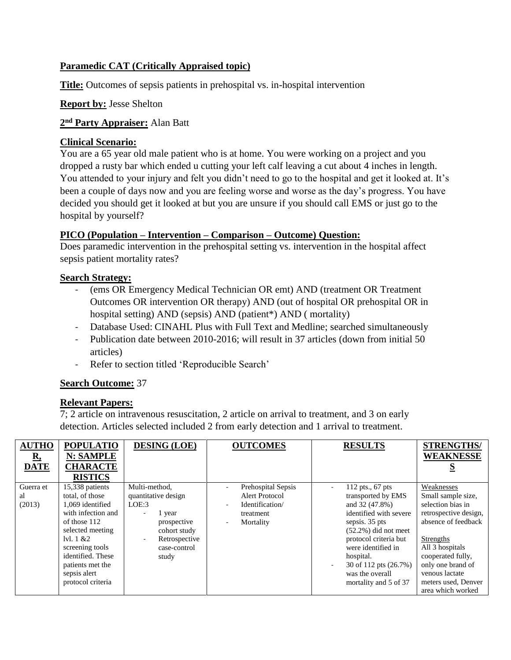# **Paramedic CAT (Critically Appraised topic)**

**Title:** Outcomes of sepsis patients in prehospital vs. in-hospital intervention

### **Report by:** Jesse Shelton

## **2 nd Party Appraiser:** Alan Batt

### **Clinical Scenario:**

You are a 65 year old male patient who is at home. You were working on a project and you dropped a rusty bar which ended u cutting your left calf leaving a cut about 4 inches in length. You attended to your injury and felt you didn't need to go to the hospital and get it looked at. It's been a couple of days now and you are feeling worse and worse as the day's progress. You have decided you should get it looked at but you are unsure if you should call EMS or just go to the hospital by yourself?

## **PICO (Population – Intervention – Comparison – Outcome) Question:**

Does paramedic intervention in the prehospital setting vs. intervention in the hospital affect sepsis patient mortality rates?

### **Search Strategy:**

- (ems OR Emergency Medical Technician OR emt) AND (treatment OR Treatment Outcomes OR intervention OR therapy) AND (out of hospital OR prehospital OR in hospital setting) AND (sepsis) AND (patient\*) AND ( mortality)
- Database Used: CINAHL Plus with Full Text and Medline; searched simultaneously
- Publication date between 2010-2016; will result in 37 articles (down from initial 50 articles)
- Refer to section titled 'Reproducible Search'

## **Search Outcome:** 37

#### **Relevant Papers:**

7; 2 article on intravenous resuscitation, 2 article on arrival to treatment, and 3 on early detection. Articles selected included 2 from early detection and 1 arrival to treatment.

| <b>AUTHO</b><br><u>R,</u><br><b>DATE</b> | <b>POPULATIO</b><br><b>N: SAMPLE</b><br><b>CHARACTE</b><br><b>RISTICS</b>                                                                                                                                                       | <b>DESING (LOE)</b>                                                                                                                             | <b>OUTCOMES</b>                                                                                                   | <b>RESULTS</b>                                                                                                                                                                                                                                                     | <b>STRENGTHS/</b><br><b>WEAKNESSE</b>                                                                                                                                                                                                         |
|------------------------------------------|---------------------------------------------------------------------------------------------------------------------------------------------------------------------------------------------------------------------------------|-------------------------------------------------------------------------------------------------------------------------------------------------|-------------------------------------------------------------------------------------------------------------------|--------------------------------------------------------------------------------------------------------------------------------------------------------------------------------------------------------------------------------------------------------------------|-----------------------------------------------------------------------------------------------------------------------------------------------------------------------------------------------------------------------------------------------|
| Guerra et<br>al<br>(2013)                | 15,338 patients<br>total, of those<br>1,069 identified<br>with infection and<br>of those 112<br>selected meeting<br>1v1.1 & 22<br>screening tools<br>identified. These<br>patients met the<br>sepsis alert<br>protocol criteria | Multi-method,<br>quantitative design<br>LOE:3<br>1 year<br>۰<br>prospective<br>cohort study<br>Retrospective<br>$\sim$<br>case-control<br>study | Prehospital Sepsis<br>٠<br><b>Alert Protocol</b><br>Identification/<br>$\sim$<br>treatment<br>Mortality<br>$\sim$ | 112 pts., $67$ pts<br>transported by EMS<br>and 32 (47.8%)<br>identified with severe<br>sepsis. 35 pts<br>$(52.2\%)$ did not meet<br>protocol criteria but<br>were identified in<br>hospital.<br>30 of 112 pts (26.7%)<br>was the overall<br>mortality and 5 of 37 | Weaknesses<br>Small sample size,<br>selection bias in<br>retrospective design,<br>absence of feedback<br>Strengths<br>All 3 hospitals<br>cooperated fully,<br>only one brand of<br>venous lactate<br>meters used, Denver<br>area which worked |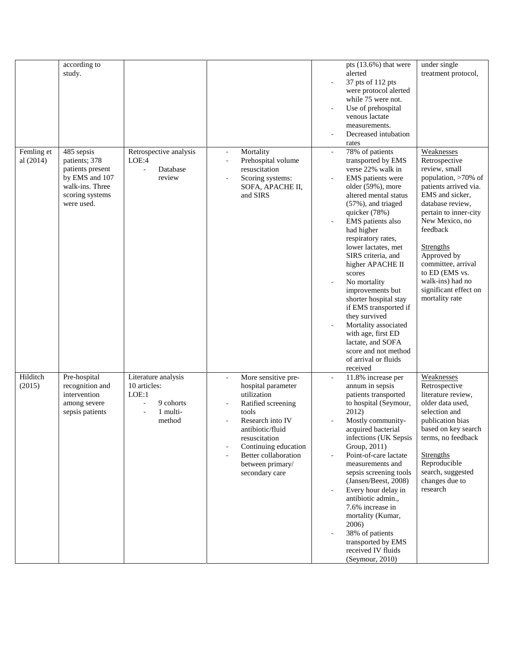|            | according to                       |                        |                          |                                     |                          | pts $(13.6%)$ that were                     | under single                              |
|------------|------------------------------------|------------------------|--------------------------|-------------------------------------|--------------------------|---------------------------------------------|-------------------------------------------|
|            | study.                             |                        |                          |                                     |                          | alerted<br>37 pts of 112 pts                | treatment protocol,                       |
|            |                                    |                        |                          |                                     |                          | were protocol alerted                       |                                           |
|            |                                    |                        |                          |                                     |                          | while 75 were not.                          |                                           |
|            |                                    |                        |                          |                                     |                          | Use of prehospital                          |                                           |
|            |                                    |                        |                          |                                     |                          | venous lactate                              |                                           |
|            |                                    |                        |                          |                                     |                          | measurements.                               |                                           |
|            |                                    |                        |                          |                                     |                          | Decreased intubation                        |                                           |
|            |                                    |                        |                          |                                     |                          | rates                                       |                                           |
| Femling et | 485 sepsis                         | Retrospective analysis | $\overline{\phantom{a}}$ | Mortality                           | $\overline{\phantom{a}}$ | 78% of patients                             | Weaknesses                                |
| al (2014)  | patients; 378                      | LOE:4<br>Database      | ÷,                       | Prehospital volume<br>resuscitation |                          | transported by EMS<br>verse 22% walk in     | Retrospective<br>review, small            |
|            | patients present<br>by EMS and 107 | review                 |                          | Scoring systems:                    |                          | EMS patients were                           | population, >70% of                       |
|            | walk-ins. Three                    |                        |                          | SOFA, APACHE II,                    |                          | older (59%), more                           | patients arrived via.                     |
|            | scoring systems                    |                        |                          | and SIRS                            |                          | altered mental status                       | EMS and sicker,                           |
|            | were used.                         |                        |                          |                                     |                          | (57%), and triaged                          | database review,                          |
|            |                                    |                        |                          |                                     |                          | quicker (78%)                               | pertain to inner-city                     |
|            |                                    |                        |                          |                                     |                          | EMS patients also                           | New Mexico, no                            |
|            |                                    |                        |                          |                                     |                          | had higher                                  | feedback                                  |
|            |                                    |                        |                          |                                     |                          | respiratory rates,                          |                                           |
|            |                                    |                        |                          |                                     |                          | lower lactates, met<br>SIRS criteria, and   | Strengths<br>Approved by                  |
|            |                                    |                        |                          |                                     |                          | higher APACHE II                            | committee, arrival                        |
|            |                                    |                        |                          |                                     |                          | scores                                      | to ED (EMS vs.                            |
|            |                                    |                        |                          |                                     |                          | No mortality                                | walk-ins) had no                          |
|            |                                    |                        |                          |                                     |                          | improvements but                            | significant effect on                     |
|            |                                    |                        |                          |                                     |                          | shorter hospital stay                       | mortality rate                            |
|            |                                    |                        |                          |                                     |                          | if EMS transported if                       |                                           |
|            |                                    |                        |                          |                                     |                          | they survived                               |                                           |
|            |                                    |                        |                          |                                     |                          | Mortality associated                        |                                           |
|            |                                    |                        |                          |                                     |                          | with age, first ED<br>lactate, and SOFA     |                                           |
|            |                                    |                        |                          |                                     |                          | score and not method                        |                                           |
|            |                                    |                        |                          |                                     |                          | of arrival or fluids                        |                                           |
|            |                                    |                        |                          |                                     |                          | received                                    |                                           |
| Hilditch   | Pre-hospital                       | Literature analysis    | $\overline{\phantom{a}}$ | More sensitive pre-                 |                          | 11.8% increase per                          | Weaknesses                                |
| (2015)     | recognition and                    | 10 articles:           |                          | hospital parameter                  |                          | annum in sepsis                             | Retrospective                             |
|            | intervention                       | LOE:1                  |                          | utilization                         |                          | patients transported                        | literature review,                        |
|            | among severe                       | 9 cohorts<br>÷.        |                          | Ratified screening                  |                          | to hospital (Seymour,                       | older data used.                          |
|            | sepsis patients                    | 1 multi-               | tools                    |                                     |                          | 2012)                                       | selection and                             |
|            |                                    | method                 |                          | Research into IV                    |                          | Mostly community-                           | publication bias                          |
|            |                                    |                        |                          | antibiotic/fluid<br>resuscitation   |                          | acquired bacterial<br>infections (UK Sepsis | based on key search<br>terms, no feedback |
|            |                                    |                        |                          | Continuing education                |                          | Group, 2011)                                |                                           |
|            |                                    |                        | ÷,                       | Better collaboration                |                          | Point-of-care lactate                       | <b>Strengths</b>                          |
|            |                                    |                        |                          | between primary/                    |                          | measurements and                            | Reproducible                              |
|            |                                    |                        |                          | secondary care                      |                          | sepsis screening tools                      | search, suggested                         |
|            |                                    |                        |                          |                                     |                          | (Jansen/Beest, 2008)                        | changes due to                            |
|            |                                    |                        |                          |                                     |                          | Every hour delay in                         | research                                  |
|            |                                    |                        |                          |                                     |                          | antibiotic admin.,<br>7.6% increase in      |                                           |
|            |                                    |                        |                          |                                     |                          | mortality (Kumar,                           |                                           |
|            |                                    |                        |                          |                                     |                          | 2006)                                       |                                           |
|            |                                    |                        |                          |                                     |                          | 38% of patients                             |                                           |
|            |                                    |                        |                          |                                     |                          | transported by EMS                          |                                           |
|            |                                    |                        |                          |                                     |                          | received IV fluids                          |                                           |
|            |                                    |                        |                          |                                     |                          | (Seymour, 2010)                             |                                           |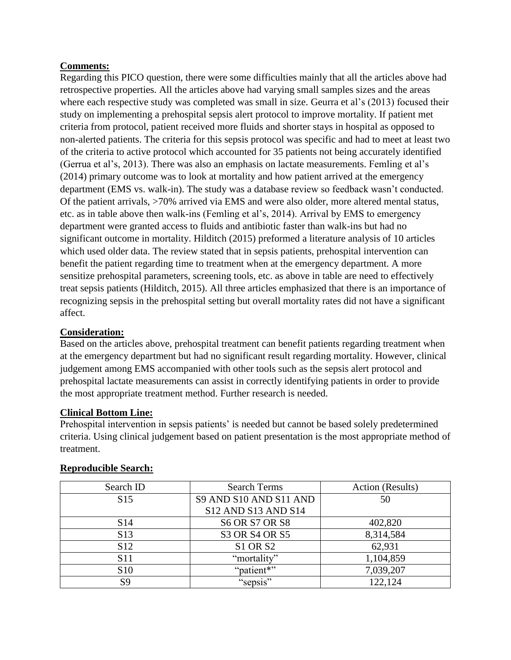### **Comments:**

Regarding this PICO question, there were some difficulties mainly that all the articles above had retrospective properties. All the articles above had varying small samples sizes and the areas where each respective study was completed was small in size. Geurra et al's (2013) focused their study on implementing a prehospital sepsis alert protocol to improve mortality. If patient met criteria from protocol, patient received more fluids and shorter stays in hospital as opposed to non-alerted patients. The criteria for this sepsis protocol was specific and had to meet at least two of the criteria to active protocol which accounted for 35 patients not being accurately identified (Gerrua et al's, 2013). There was also an emphasis on lactate measurements. Femling et al's (2014) primary outcome was to look at mortality and how patient arrived at the emergency department (EMS vs. walk-in). The study was a database review so feedback wasn't conducted. Of the patient arrivals, >70% arrived via EMS and were also older, more altered mental status, etc. as in table above then walk-ins (Femling et al's, 2014). Arrival by EMS to emergency department were granted access to fluids and antibiotic faster than walk-ins but had no significant outcome in mortality. Hilditch (2015) preformed a literature analysis of 10 articles which used older data. The review stated that in sepsis patients, prehospital intervention can benefit the patient regarding time to treatment when at the emergency department. A more sensitize prehospital parameters, screening tools, etc. as above in table are need to effectively treat sepsis patients (Hilditch, 2015). All three articles emphasized that there is an importance of recognizing sepsis in the prehospital setting but overall mortality rates did not have a significant affect.

## **Consideration:**

Based on the articles above, prehospital treatment can benefit patients regarding treatment when at the emergency department but had no significant result regarding mortality. However, clinical judgement among EMS accompanied with other tools such as the sepsis alert protocol and prehospital lactate measurements can assist in correctly identifying patients in order to provide the most appropriate treatment method. Further research is needed.

#### **Clinical Bottom Line:**

Prehospital intervention in sepsis patients' is needed but cannot be based solely predetermined criteria. Using clinical judgement based on patient presentation is the most appropriate method of treatment.

| Search ID       | <b>Search Terms</b>    |           |
|-----------------|------------------------|-----------|
| S <sub>15</sub> | S9 AND S10 AND S11 AND | 50        |
|                 | S12 AND S13 AND S14    |           |
| S <sub>14</sub> | <b>S6 OR S7 OR S8</b>  | 402,820   |
| S <sub>13</sub> | S3 OR S4 OR S5         | 8,314,584 |
| S <sub>12</sub> | <b>S1 OR S2</b>        | 62,931    |
| S <sub>11</sub> | "mortality"            | 1,104,859 |
| S <sub>10</sub> | "patient*"             | 7,039,207 |
| S9              | "sepsis"               | 122,124   |

#### **Reproducible Search:**